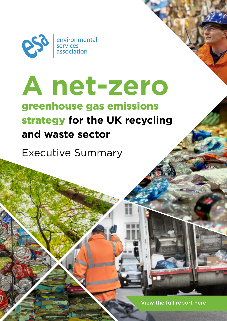

# **A net-zero** greenhouse gas emissions strategy **for the UK recycling and waste sector**

Executive Summary

View the full report here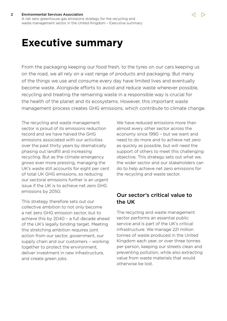#### 2 Environmental Services Association A net zero greenhouse gas emissions strategy for the recycling and

waste management sector in the United Kingdom – Executive summary

# **Executive summary**

From the packaging keeping our food fresh, to the tyres on our cars keeping us on the road, we all rely on a vast range of products and packaging. But many of the things we use and consume every day have limited lives and eventually become waste. Alongside efforts to avoid and reduce waste wherever possible, recycling and treating the remaining waste in a responsible way is crucial for the health of the planet and its ecosystems. However, this important waste management process creates GHG emissions, which contribute to climate change.

The recycling and waste management sector is proud of its emissions reduction record and we have halved the GHG emissions associated with our activities over the past thirty years by dramatically phasing out landfill and increasing recycling. But as the climate emergency grows ever more pressing, managing the UK's waste still accounts for eight per cent of total UK GHG emissions, so reducing our sectoral emissions further is an urgent issue if the UK is to achieve net zero GHG emissions by 2050.

This strategy therefore sets out our collective ambition to not only become a net zero GHG emission sector, but to achieve this by 2040 – a full decade ahead of the UK's legally binding target. Meeting this stretching ambition requires joint action from our sector, government, our supply chain and our customers – working together to protect the environment, deliver investment in new infrastructure, and create green jobs.

We have reduced emissions more than almost every other sector across the economy since 1990 – but we want and need to do more and to achieve net zero as quickly as possible, but will need the support of others to meet this challenging objective. This strategy sets out what we, the wider sector and our stakeholders can do to help achieve net zero emissions for the recycling and waste sector.

# Our sector's critical value to the UK

The recycling and waste management sector performs an essential public service and is part of the UK's critical infrastructure. We manage 221 million tonnes of waste produced in the United Kingdom each year, or over three tonnes per person, keeping our streets clean and preventing pollution, while also extracting value from waste materials that would otherwise be lost.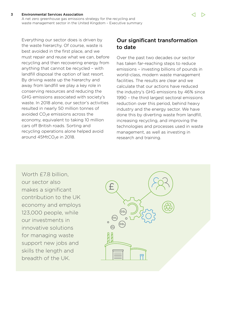Everything our sector does is driven by the waste hierarchy. Of course, waste is best avoided in the first place, and we must repair and reuse what we can, before recycling and then recovering energy from anything that cannot be recycled – with landfill disposal the option of last resort. By driving waste up the hierarchy and away from landfill we play a key role in conserving resources and reducing the GHG emissions associated with society's waste. In 2018 alone, our sector's activities resulted in nearly 50 million tonnes of avoided  $CO<sub>2</sub>e$  emissions across the economy, equivalent to taking 10 million cars off British roads. Sorting and recycling operations alone helped avoid around  $45$ MtCO<sub>2</sub>e in 2018.

# Our significant transformation to date

Over the past two decades our sector has taken far-reaching steps to reduce emissions – investing billions of pounds in world-class, modern waste management facilities. The results are clear and we calculate that our actions have reduced the industry's GHG emissions by 46% since 1990 – the third largest sectoral emissions reduction over this period, behind heavy industry and the energy sector. We have done this by diverting waste from landfill, increasing recycling, and improving the technologies and processes used in waste management, as well as investing in research and training.

Worth **£7.8** billion, our sector also makes a significant contribution to the UK economy and employs 123,000 people, while our investments in innovative solutions for managing waste support new jobs and skills the length and breadth of the UK.

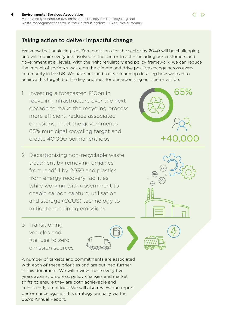#### 4 Environmental Services Association A net zero greenhouse gas emissions strategy for the recycling and waste management sector in the United Kingdom – Executive summary

## Taking action to deliver impactful change

We know that achieving Net Zero emissions for the sector by 2040 will be challenging and will require everyone involved in the sector to act – including our customers and government at all levels. With the right regulatory and policy framework, we can reduce the impact of society's waste on the climate and drive positive change across every community in the UK. We have outlined a clear roadmap detailing how we plan to achieve this target, but the key priorities for decarbonising our sector will be:

- 1 Investing a forecasted £10bn in recycling infrastructure over the next decade to make the recycling process more efficient, reduce associated emissions, meet the government's 65% municipal recycling target and create 40,000 permanent jobs
- 2 Decarbonising non-recyclable waste treatment by removing organics from landfill by 2030 and plastics from energy recovery facilities, while working with government to enable carbon capture, utilisation and storage (CCUS) technology to mitigate remaining emissions

3 Transitioning vehicles and fuel use to zero emission sources

A number of targets and commitments are associated with each of these priorities and are outlined further in this document. We will review these every five years against progress, policy changes and market shifts to ensure they are both achievable and consistently ambitious. We will also review and report performance against this strategy annually via the ESA's Annual Report.



65%

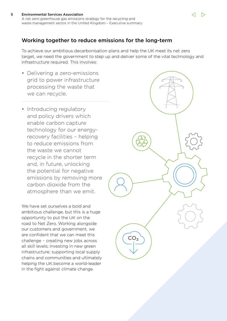#### 5 Environmental Services Association A net zero greenhouse gas emissions strategy for the recycling and waste management sector in the United Kingdom – Executive summary

### Working together to reduce emissions for the long-term

To achieve our ambitious decarbonisation plans and help the UK meet its net zero target, we need the government to step up and deliver some of the vital technology and infrastructure required. This involves:

- Delivering a zero-emissions grid to power infrastructure processing the waste that we can recycle.
- Introducing regulatory and policy drivers which enable carbon capture technology for our energyrecovery facilities – helping to reduce emissions from the waste we cannot recycle in the shorter term and, in future, unlocking the potential for negative emissions by removing more carbon dioxide from the atmosphere than we emit.

We have set ourselves a bold and ambitious challenge, but this is a huge opportunity to put the UK on the road to Net Zero. Working alongside our customers and government, we are confident that we can meet this challenge – creating new jobs across all skill levels; investing in new green infrastructure; supporting local supply chains and communities and ultimately helping the UK become a world-leader in the fight against climate change.